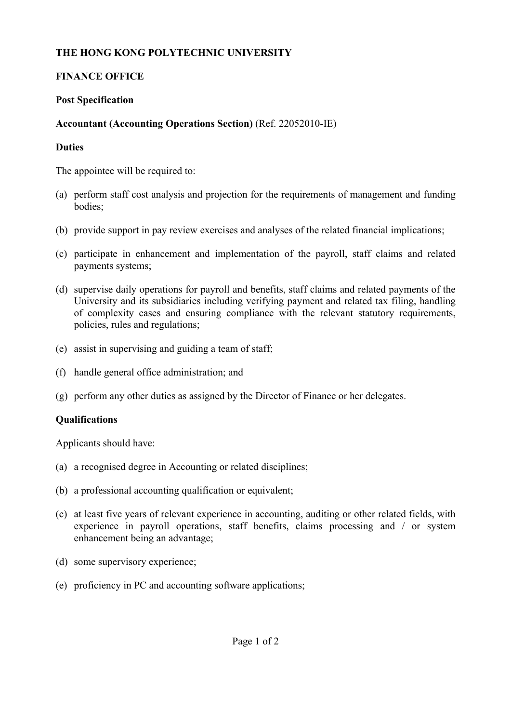# **THE HONG KONG POLYTECHNIC UNIVERSITY**

## **FINANCE OFFICE**

#### **Post Specification**

## **Accountant (Accounting Operations Section)** (Ref. 22052010-IE)

#### **Duties**

The appointee will be required to:

- (a) perform staff cost analysis and projection for the requirements of management and funding bodies;
- (b) provide support in pay review exercises and analyses of the related financial implications;
- (c) participate in enhancement and implementation of the payroll, staff claims and related payments systems;
- (d) supervise daily operations for payroll and benefits, staff claims and related payments of the University and its subsidiaries including verifying payment and related tax filing, handling of complexity cases and ensuring compliance with the relevant statutory requirements, policies, rules and regulations;
- (e) assist in supervising and guiding a team of staff;
- (f) handle general office administration; and
- (g) perform any other duties as assigned by the Director of Finance or her delegates.

# **Qualifications**

Applicants should have:

- (a) a recognised degree in Accounting or related disciplines;
- (b) a professional accounting qualification or equivalent;
- (c) at least five years of relevant experience in accounting, auditing or other related fields, with experience in payroll operations, staff benefits, claims processing and / or system enhancement being an advantage;
- (d) some supervisory experience;
- (e) proficiency in PC and accounting software applications;